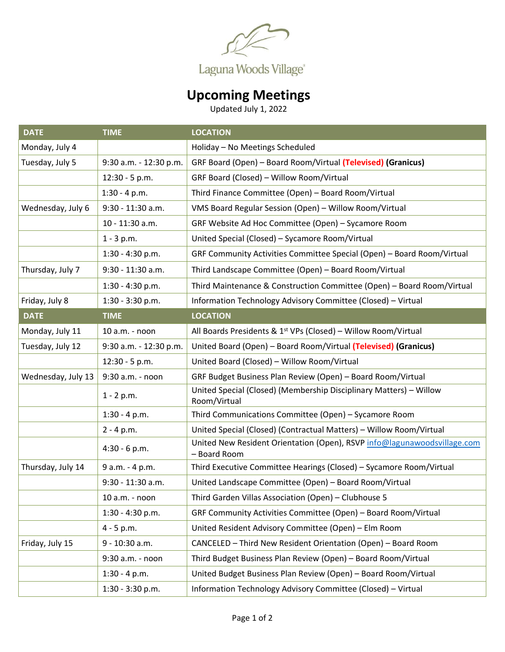

## **Upcoming Meetings**

Updated July 1, 2022

| <b>DATE</b>        | <b>TIME</b>            | <b>LOCATION</b>                                                                          |
|--------------------|------------------------|------------------------------------------------------------------------------------------|
| Monday, July 4     |                        | Holiday - No Meetings Scheduled                                                          |
| Tuesday, July 5    | 9:30 a.m. - 12:30 p.m. | GRF Board (Open) - Board Room/Virtual (Televised) (Granicus)                             |
|                    | 12:30 - 5 p.m.         | GRF Board (Closed) - Willow Room/Virtual                                                 |
|                    | $1:30 - 4 p.m.$        | Third Finance Committee (Open) - Board Room/Virtual                                      |
| Wednesday, July 6  | 9:30 - 11:30 a.m.      | VMS Board Regular Session (Open) - Willow Room/Virtual                                   |
|                    | 10 - 11:30 a.m.        | GRF Website Ad Hoc Committee (Open) - Sycamore Room                                      |
|                    | $1 - 3 p.m.$           | United Special (Closed) - Sycamore Room/Virtual                                          |
|                    | $1:30 - 4:30$ p.m.     | GRF Community Activities Committee Special (Open) - Board Room/Virtual                   |
| Thursday, July 7   | 9:30 - 11:30 a.m.      | Third Landscape Committee (Open) - Board Room/Virtual                                    |
|                    | $1:30 - 4:30$ p.m.     | Third Maintenance & Construction Committee (Open) - Board Room/Virtual                   |
| Friday, July 8     | $1:30 - 3:30$ p.m.     | Information Technology Advisory Committee (Closed) - Virtual                             |
| <b>DATE</b>        | <b>TIME</b>            | <b>LOCATION</b>                                                                          |
| Monday, July 11    | 10 a.m. - noon         | All Boards Presidents & 1 <sup>st</sup> VPs (Closed) - Willow Room/Virtual               |
| Tuesday, July 12   | 9:30 a.m. - 12:30 p.m. | United Board (Open) - Board Room/Virtual (Televised) (Granicus)                          |
|                    | 12:30 - 5 p.m.         | United Board (Closed) - Willow Room/Virtual                                              |
| Wednesday, July 13 | 9:30 a.m. - noon       | GRF Budget Business Plan Review (Open) - Board Room/Virtual                              |
|                    | $1 - 2 p.m.$           | United Special (Closed) (Membership Disciplinary Matters) - Willow<br>Room/Virtual       |
|                    | $1:30 - 4 p.m.$        | Third Communications Committee (Open) - Sycamore Room                                    |
|                    | $2 - 4 p.m.$           | United Special (Closed) (Contractual Matters) - Willow Room/Virtual                      |
|                    | 4:30 - 6 p.m.          | United New Resident Orientation (Open), RSVP info@lagunawoodsvillage.com<br>- Board Room |
| Thursday, July 14  | 9 a.m. - 4 p.m.        | Third Executive Committee Hearings (Closed) - Sycamore Room/Virtual                      |
|                    | 9:30 - 11:30 a.m.      | United Landscape Committee (Open) - Board Room/Virtual                                   |
|                    | 10 a.m. - noon         | Third Garden Villas Association (Open) - Clubhouse 5                                     |
|                    | $1:30 - 4:30$ p.m.     | GRF Community Activities Committee (Open) - Board Room/Virtual                           |
|                    | $4 - 5 p.m.$           | United Resident Advisory Committee (Open) - Elm Room                                     |
| Friday, July 15    | 9 - 10:30 a.m.         | CANCELED - Third New Resident Orientation (Open) - Board Room                            |
|                    | 9:30 a.m. - noon       | Third Budget Business Plan Review (Open) - Board Room/Virtual                            |
|                    | $1:30 - 4 p.m.$        | United Budget Business Plan Review (Open) - Board Room/Virtual                           |
|                    | $1:30 - 3:30$ p.m.     | Information Technology Advisory Committee (Closed) - Virtual                             |